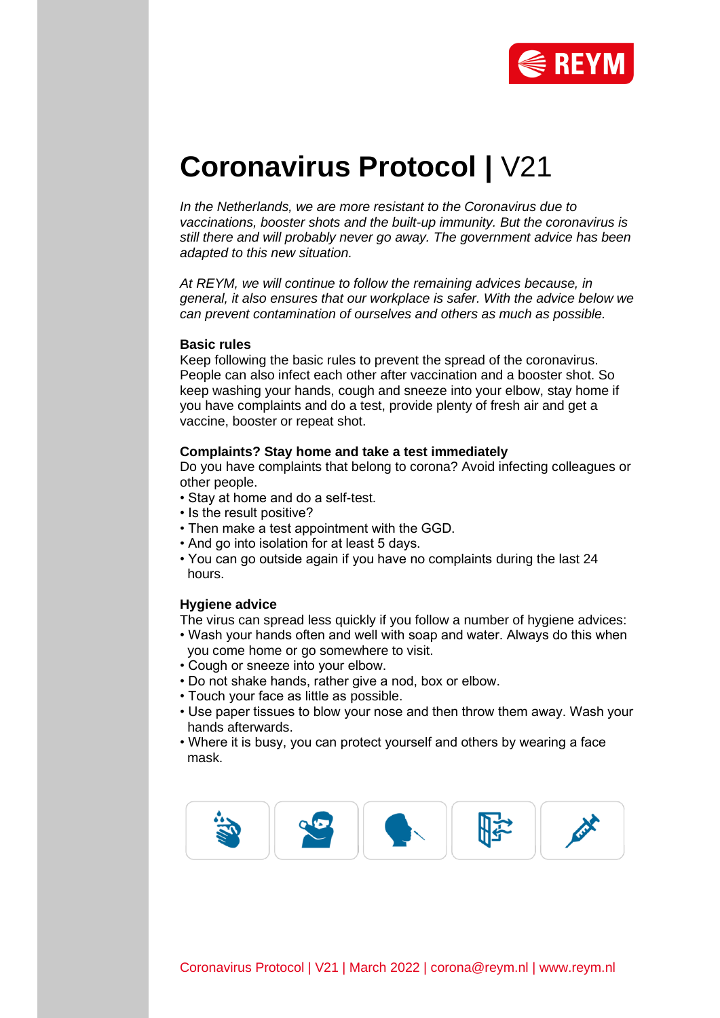

# **Coronavirus Protocol |** V21

*In the Netherlands, we are more resistant to the Coronavirus due to vaccinations, booster shots and the built-up immunity. But the coronavirus is still there and will probably never go away. The government advice has been adapted to this new situation.*

*At REYM, we will continue to follow the remaining advices because, in general, it also ensures that our workplace is safer. With the advice below we can prevent contamination of ourselves and others as much as possible.*

#### **Basic rules**

Keep following the basic rules to prevent the spread of the coronavirus. People can also infect each other after vaccination and a booster shot. So keep washing your hands, cough and sneeze into your elbow, stay home if you have complaints and do a test, provide plenty of fresh air and get a vaccine, booster or repeat shot.

#### **Complaints? Stay home and take a test immediately**

Do you have complaints that belong to corona? Avoid infecting colleagues or other people.

- Stay at home and do a self-test.
- Is the result positive?
- Then make a test appointment with the GGD.
- And go into isolation for at least 5 days.
- You can go outside again if you have no complaints during the last 24 hours.

# **Hygiene advice**

The virus can spread less quickly if you follow a number of hygiene advices:

- Wash your hands often and well with soap and water. Always do this when you come home or go somewhere to visit.
- Cough or sneeze into your elbow.
- Do not shake hands, rather give a nod, box or elbow.
- Touch your face as little as possible.
- Use paper tissues to blow your nose and then throw them away. Wash your hands afterwards.
- Where it is busy, you can protect yourself and others by wearing a face mask.

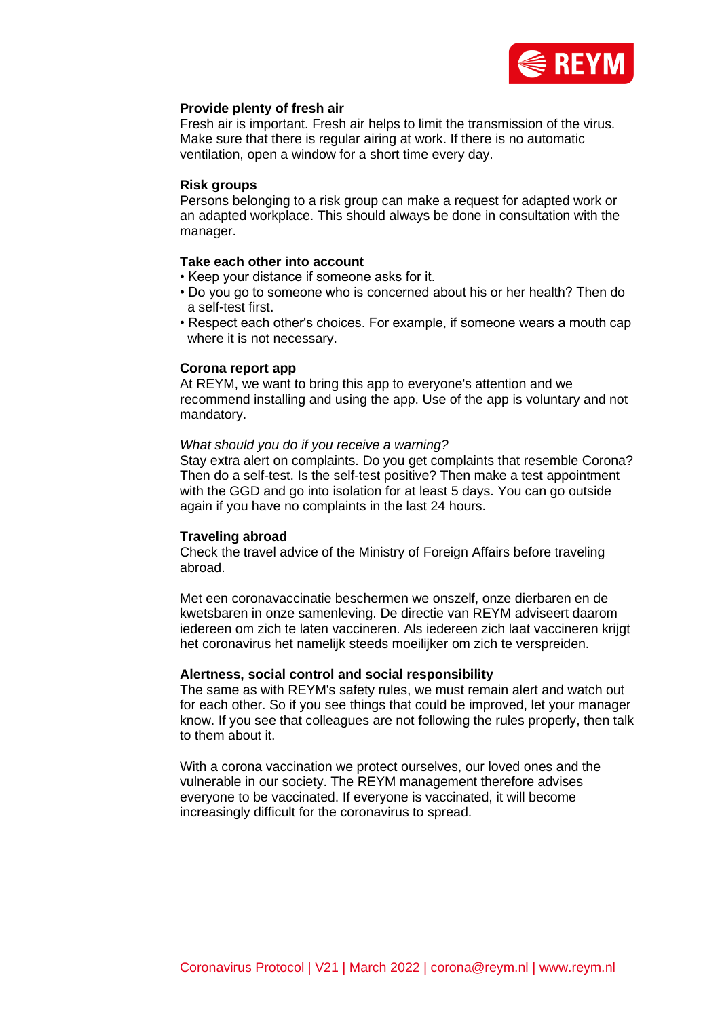

# **Provide plenty of fresh air**

Fresh air is important. Fresh air helps to limit the transmission of the virus. Make sure that there is regular airing at work. If there is no automatic ventilation, open a window for a short time every day.

## **Risk groups**

Persons belonging to a risk group can make a request for adapted work or an adapted workplace. This should always be done in consultation with the manager.

# **Take each other into account**

- Keep your distance if someone asks for it.
- Do you go to someone who is concerned about his or her health? Then do a self-test first.
- Respect each other's choices. For example, if someone wears a mouth cap where it is not necessary.

# **Corona report app**

At REYM, we want to bring this app to everyone's attention and we recommend installing and using the app. Use of the app is voluntary and not mandatory.

#### *What should you do if you receive a warning?*

Stay extra alert on complaints. Do you get complaints that resemble Corona? Then do a self-test. Is the self-test positive? Then make a test appointment with the GGD and go into isolation for at least 5 days. You can go outside again if you have no complaints in the last 24 hours.

#### **Traveling abroad**

Check the travel advice of the Ministry of Foreign Affairs before traveling abroad.

Met een coronavaccinatie beschermen we onszelf, onze dierbaren en de kwetsbaren in onze samenleving. De directie van REYM adviseert daarom iedereen om zich te laten vaccineren. Als iedereen zich laat vaccineren krijgt het coronavirus het namelijk steeds moeilijker om zich te verspreiden.

#### **Alertness, social control and social responsibility**

The same as with REYM's safety rules, we must remain alert and watch out for each other. So if you see things that could be improved, let your manager know. If you see that colleagues are not following the rules properly, then talk to them about it.

With a corona vaccination we protect ourselves, our loved ones and the vulnerable in our society. The REYM management therefore advises everyone to be vaccinated. If everyone is vaccinated, it will become increasingly difficult for the coronavirus to spread.